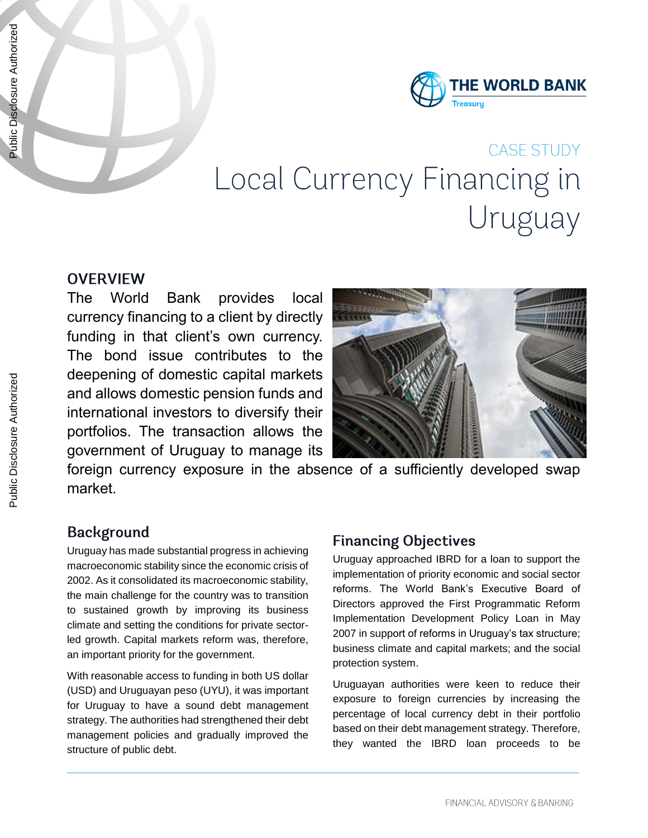

# **CASE STUDY** Local Currency Financing in Uruguay

#### **OVERVIEW**

The World Bank provides local currency financing to a client by directly funding in that client's own currency. The bond issue contributes to the deepening of domestic capital markets and allows domestic pension funds and international investors to diversify their portfolios. The transaction allows the government of Uruguay to manage its



foreign currency exposure in the absence of a sufficiently developed swap market.

## **Background**

Uruguay has made substantial progress in achieving macroeconomic stability since the economic crisis of 2002. As it consolidated its macroeconomic stability, the main challenge for the country was to transition to sustained growth by improving its business climate and setting the conditions for private sectorled growth. Capital markets reform was, therefore, an important priority for the government.

With reasonable access to funding in both US dollar (USD) and Uruguayan peso (UYU), it was important for Uruguay to have a sound debt management strategy. The authorities had strengthened their debt management policies and gradually improved the structure of public debt.

#### **Financing Objectives**

Uruguay approached IBRD for a loan to support the implementation of priority economic and social sector reforms. The World Bank's Executive Board of Directors approved the First Programmatic Reform Implementation Development Policy Loan in May 2007 in support of reforms in Uruguay's tax structure; business climate and capital markets; and the social protection system.

Uruguayan authorities were keen to reduce their exposure to foreign currencies by increasing the percentage of local currency debt in their portfolio based on their debt management strategy. Therefore, they wanted the IBRD loan proceeds to be